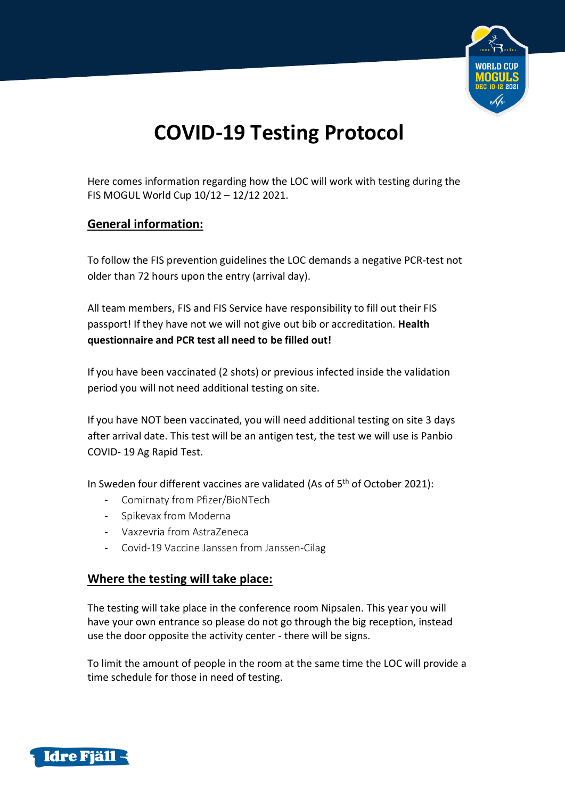

# **COVID-19 Testing Protocol**

Here comes information regarding how the LOC will work with testing during the FIS MOGUL World Cup 10/12 – 12/12 2021.

## **General information:**

To follow the FIS prevention guidelines the LOC demands a negative PCR-test not older than 72 hours upon the entry (arrival day).

All team members, FIS and FIS Service have responsibility to fill out their FIS passport! If they have not we will not give out bib or accreditation. **Health questionnaire and PCR test all need to be filled out!** 

If you have been vaccinated (2 shots) or previous infected inside the validation period you will not need additional testing on site.

If you have NOT been vaccinated, you will need additional testing on site 3 days after arrival date. This test will be an antigen test, the test we will use is Panbio COVID- 19 Ag Rapid Test.

In Sweden four different vaccines are validated (As of 5<sup>th</sup> of October 2021):

- Comirnaty from Pfizer/BioNTech
- Spikevax from Moderna
- Vaxzevria from AstraZeneca
- Covid-19 Vaccine Janssen from Janssen-Cilag

#### **Where the testing will take place:**

The testing will take place in the conference room Nipsalen. This year you will have your own entrance so please do not go through the big reception, instead use the door opposite the activity center - there will be signs.

To limit the amount of people in the room at the same time the LOC will provide a time schedule for those in need of testing.